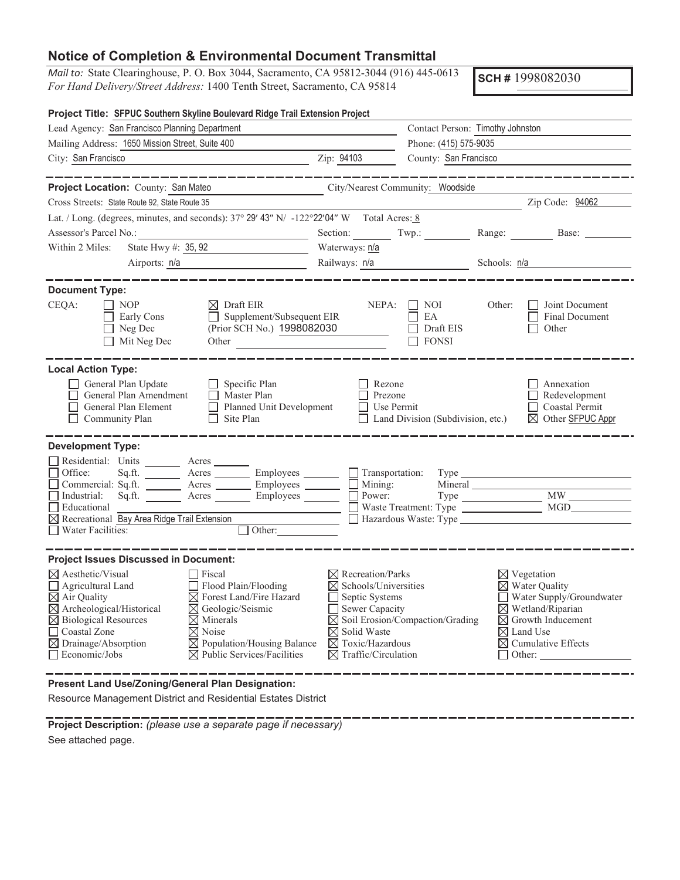## **Notice of Completion & Environmental Document Transmittal**

*Mail to:* State Clearinghouse, P. O. Box 3044, Sacramento, CA 95812-3044 (916) 445-0613 *For Hand Delivery/Street Address:* 1400 Tenth Street, Sacramento, CA 95814

**SCH #** 1998082030

| Project Title: SFPUC Southern Skyline Boulevard Ridge Trail Extension Project                                                                                                                                                                                                                                                                                                                                                                                                                  |                                                                                                                                                                                                                                                                |                                                                   |                |                                                                                                                                                                                                                             |  |
|------------------------------------------------------------------------------------------------------------------------------------------------------------------------------------------------------------------------------------------------------------------------------------------------------------------------------------------------------------------------------------------------------------------------------------------------------------------------------------------------|----------------------------------------------------------------------------------------------------------------------------------------------------------------------------------------------------------------------------------------------------------------|-------------------------------------------------------------------|----------------|-----------------------------------------------------------------------------------------------------------------------------------------------------------------------------------------------------------------------------|--|
| Lead Agency: San Francisco Planning Department                                                                                                                                                                                                                                                                                                                                                                                                                                                 |                                                                                                                                                                                                                                                                | Contact Person: Timothy Johnston                                  |                |                                                                                                                                                                                                                             |  |
| Mailing Address: 1650 Mission Street, Suite 400                                                                                                                                                                                                                                                                                                                                                                                                                                                | Phone: (415) 575-9035                                                                                                                                                                                                                                          |                                                                   |                |                                                                                                                                                                                                                             |  |
| City: San Francisco<br>$\overline{2ip}$ : 94103                                                                                                                                                                                                                                                                                                                                                                                                                                                |                                                                                                                                                                                                                                                                | County: San Francisco                                             |                |                                                                                                                                                                                                                             |  |
|                                                                                                                                                                                                                                                                                                                                                                                                                                                                                                |                                                                                                                                                                                                                                                                |                                                                   |                |                                                                                                                                                                                                                             |  |
| Project Location: County: San Mateo                                                                                                                                                                                                                                                                                                                                                                                                                                                            | City/Nearest Community: Woodside                                                                                                                                                                                                                               |                                                                   |                |                                                                                                                                                                                                                             |  |
| Cross Streets: State Route 92, State Route 35                                                                                                                                                                                                                                                                                                                                                                                                                                                  |                                                                                                                                                                                                                                                                |                                                                   |                | Zip Code: 94062                                                                                                                                                                                                             |  |
| Lat. / Long. (degrees, minutes, and seconds): $37^{\circ}$ 29' 43" N/ -122°22'04" W Total Acres: 8                                                                                                                                                                                                                                                                                                                                                                                             |                                                                                                                                                                                                                                                                |                                                                   |                |                                                                                                                                                                                                                             |  |
| Assessor's Parcel No.:                                                                                                                                                                                                                                                                                                                                                                                                                                                                         |                                                                                                                                                                                                                                                                |                                                                   |                | Section: Twp.: Range: Base: Base:                                                                                                                                                                                           |  |
| State Hwy $\#$ : 35, 92<br>Within 2 Miles:                                                                                                                                                                                                                                                                                                                                                                                                                                                     | Waterways: n/a                                                                                                                                                                                                                                                 |                                                                   |                |                                                                                                                                                                                                                             |  |
| Airports: n/a<br><u> 1990 - Johann Barbara, martxa a</u>                                                                                                                                                                                                                                                                                                                                                                                                                                       | Railways: n/a                                                                                                                                                                                                                                                  |                                                                   | Schools: $n/a$ |                                                                                                                                                                                                                             |  |
| <b>Document Type:</b>                                                                                                                                                                                                                                                                                                                                                                                                                                                                          |                                                                                                                                                                                                                                                                |                                                                   |                |                                                                                                                                                                                                                             |  |
| CEQA:<br>$\Box$ NOP<br>$\boxtimes$ Draft EIR<br>Supplement/Subsequent EIR<br>$\Box$ Early Cons<br>(Prior SCH No.) 1998082030<br>$\Box$ Neg Dec<br>$\Box$ Mit Neg Dec<br>Other                                                                                                                                                                                                                                                                                                                  |                                                                                                                                                                                                                                                                | $NEPA: \Box NOI$<br>$\Box$ ea<br>$\Box$ Draft EIS<br>$\Box$ FONSI | Other:         | $\Box$ Joint Document<br>$\Box$<br>Final Document<br>$\Box$ Other                                                                                                                                                           |  |
| <b>Local Action Type:</b>                                                                                                                                                                                                                                                                                                                                                                                                                                                                      |                                                                                                                                                                                                                                                                |                                                                   |                |                                                                                                                                                                                                                             |  |
| General Plan Update<br>$\Box$ Specific Plan<br>$\Box$ Master Plan<br>General Plan Amendment<br>Planned Unit Development<br>$\Box$ General Plan Element<br>$\Box$ Site Plan<br>$\Box$ Community Plan                                                                                                                                                                                                                                                                                            | $\Box$ Rezone<br>$\Box$ Prezone<br>$\Box$ Use Permit                                                                                                                                                                                                           | $\Box$ Land Division (Subdivision, etc.)                          |                | Annexation<br>$\Box$ Redevelopment<br>□ Coastal Permit<br>$\boxtimes$ Other SFPUC Appr                                                                                                                                      |  |
| <b>Development Type:</b>                                                                                                                                                                                                                                                                                                                                                                                                                                                                       |                                                                                                                                                                                                                                                                |                                                                   |                |                                                                                                                                                                                                                             |  |
| Residential: Units ________ Acres _<br>$Sq.ft$ $\overline{\qquad}$ Acres $\overline{\qquad}$ Employees $\overline{\qquad}$ Transportation:<br>Office:<br>Commercial: Sq.ft. ________ Acres _________ Employees ________ __ Mining:<br>Industrial: Sq.ft. _______ Acres _______ Employees ______<br>Educational<br><u> 1990 - Johann Barbara, martin a</u><br>$\boxtimes$ Recreational Bay Area Ridge Trail Extension $\Box$ Hazardous Waste: Type<br>$\Box$ Water Facilities:<br>$\Box$ Other: | Power:                                                                                                                                                                                                                                                         |                                                                   |                | Waste Treatment: Type MGD                                                                                                                                                                                                   |  |
| <b>Project Issues Discussed in Document:</b>                                                                                                                                                                                                                                                                                                                                                                                                                                                   |                                                                                                                                                                                                                                                                |                                                                   |                |                                                                                                                                                                                                                             |  |
| $\boxtimes$ Aesthetic/Visual<br>  Fiscal<br>$\Box$ Flood Plain/Flooding<br>$\Box$ Agricultural Land<br>$\boxtimes$ Air Quality<br>$\boxtimes$ Forest Land/Fire Hazard<br>$\boxtimes$ Archeological/Historical<br>$\boxtimes$ Geologic/Seismic<br>$\boxtimes$ Biological Resources<br>$\boxtimes$ Minerals<br>□ Coastal Zone<br>$\nabla$ Noise<br>$\boxtimes$ Drainage/Absorption<br>$\boxtimes$ Population/Housing Balance<br>$\Box$ Economic/Jobs<br>$\boxtimes$ Public Services/Facilities   | $\boxtimes$ Recreation/Parks<br>$\boxtimes$ Schools/Universities<br>$\Box$ Septic Systems<br>$\Box$ Sewer Capacity<br>$\boxtimes$ Soil Erosion/Compaction/Grading<br>$\boxtimes$ Solid Waste<br>$\boxtimes$ Toxic/Hazardous<br>$\boxtimes$ Traffic/Circulation |                                                                   |                | $\boxtimes$ Vegetation<br>$\boxtimes$ Water Quality<br>$\Box$ Water Supply/Groundwater<br>$\boxtimes$ Wetland/Riparian<br>$\boxtimes$ Growth Inducement<br>$\boxtimes$ Land Use<br>$\boxtimes$ Cumulative Effects<br>Other: |  |

**Present Land Use/Zoning/General Plan Designation:**

Resource Management District and Residential Estates District

**Project Description:** *(please use a separate page if necessary)*  See attached page.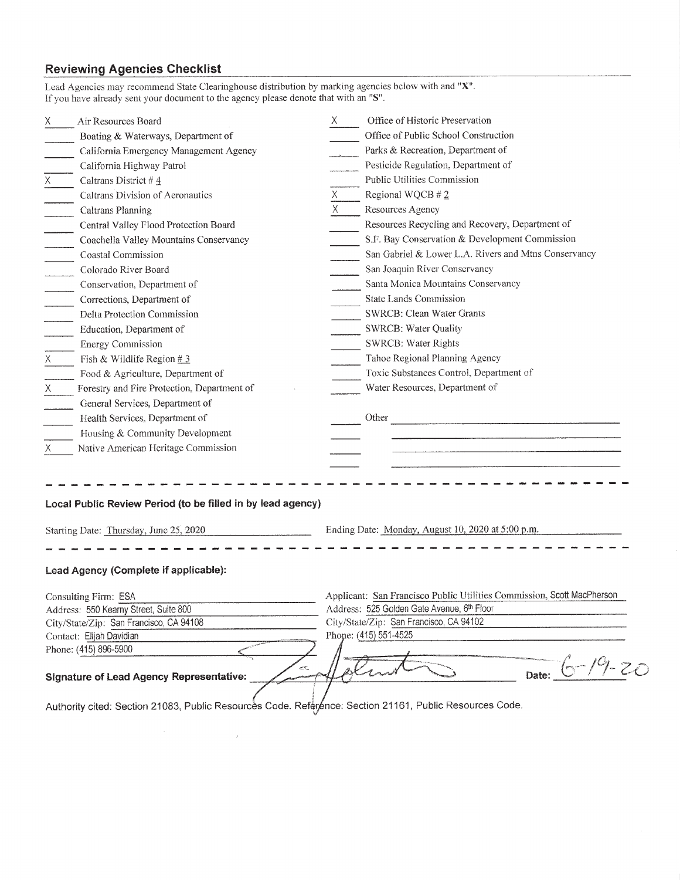## **Reviewing Agencies Checklist**

| Lead Agencies may recommend State Clearinghouse distribution by marking agencies below with and "X".<br>If you have already sent your document to the agency please denote that with an "S". |                                                                        |  |  |
|----------------------------------------------------------------------------------------------------------------------------------------------------------------------------------------------|------------------------------------------------------------------------|--|--|
| Air Resources Board                                                                                                                                                                          | Office of Historic Preservation                                        |  |  |
| Boating & Waterways, Department of                                                                                                                                                           | Office of Public School Construction                                   |  |  |
| California Emergency Management Agency                                                                                                                                                       | Parks & Recreation, Department of                                      |  |  |
| California Highway Patrol                                                                                                                                                                    | Pesticide Regulation, Department of                                    |  |  |
| Caltrans District #4                                                                                                                                                                         | Public Utilities Commission                                            |  |  |
| Caltrans Division of Aeronautics                                                                                                                                                             | Regional WQCB #2                                                       |  |  |
| Caltrans Planning                                                                                                                                                                            | X.<br>Resources Agency                                                 |  |  |
| Central Valley Flood Protection Board                                                                                                                                                        | Resources Recycling and Recovery, Department of                        |  |  |
| Coachella Valley Mountains Conservancy                                                                                                                                                       | S.F. Bay Conservation & Development Commission                         |  |  |
| Coastal Commission                                                                                                                                                                           | San Gabriel & Lower L.A. Rivers and Mtns Conservancy                   |  |  |
| Colorado River Board                                                                                                                                                                         | San Joaquin River Conservancy                                          |  |  |
| Conservation, Department of                                                                                                                                                                  | Santa Monica Mountains Conservancy                                     |  |  |
| Corrections, Department of                                                                                                                                                                   | State Lands Commission                                                 |  |  |
| Delta Protection Commission                                                                                                                                                                  | <b>SWRCB: Clean Water Grants</b>                                       |  |  |
| Education, Department of                                                                                                                                                                     | <b>SWRCB: Water Quality</b>                                            |  |  |
| <b>Energy Commission</b>                                                                                                                                                                     | SWRCB: Water Rights                                                    |  |  |
| X<br>Fish & Wildlife Region $#3$                                                                                                                                                             | Tahoe Regional Planning Agency                                         |  |  |
| Food & Agriculture, Department of                                                                                                                                                            | Toxic Substances Control, Department of                                |  |  |
| $X =$<br>Forestry and Fire Protection, Department of                                                                                                                                         | Water Resources, Department of                                         |  |  |
| General Services, Department of                                                                                                                                                              |                                                                        |  |  |
| Health Services, Department of                                                                                                                                                               |                                                                        |  |  |
| Housing & Community Development                                                                                                                                                              |                                                                        |  |  |
| Native American Heritage Commission<br>Χ                                                                                                                                                     |                                                                        |  |  |
|                                                                                                                                                                                              |                                                                        |  |  |
| Local Public Review Period (to be filled in by lead agency)                                                                                                                                  |                                                                        |  |  |
| Starting Date: Thursday, June 25, 2020                                                                                                                                                       | Ending Date: Monday, August 10, 2020 at 5:00 p.m.                      |  |  |
| Lead Agency (Complete if applicable):                                                                                                                                                        |                                                                        |  |  |
|                                                                                                                                                                                              |                                                                        |  |  |
| Consulting Firm: ESA                                                                                                                                                                         | Applicant: San Francisco Public Utilities Commission, Scott MacPherson |  |  |
| Address: 550 Kearny Street, Suite 800                                                                                                                                                        | Address: 525 Golden Gate Avenue, 6th Floor                             |  |  |
| City/State/Zip: San Francisco, CA 94108                                                                                                                                                      | City/State/Zip: San Francisco, CA 94102                                |  |  |
| Contact: Elijah Davidian                                                                                                                                                                     | Phone: (415) 551-4525                                                  |  |  |
| Phone: (415) 896-5900                                                                                                                                                                        |                                                                        |  |  |
| <b>Signature of Lead Agency Representative:</b>                                                                                                                                              | Date:                                                                  |  |  |

Authority cited: Section 21083, Public Resources Code. Reference: Section 21161, Public Resources Code.

 $\bar{z}$